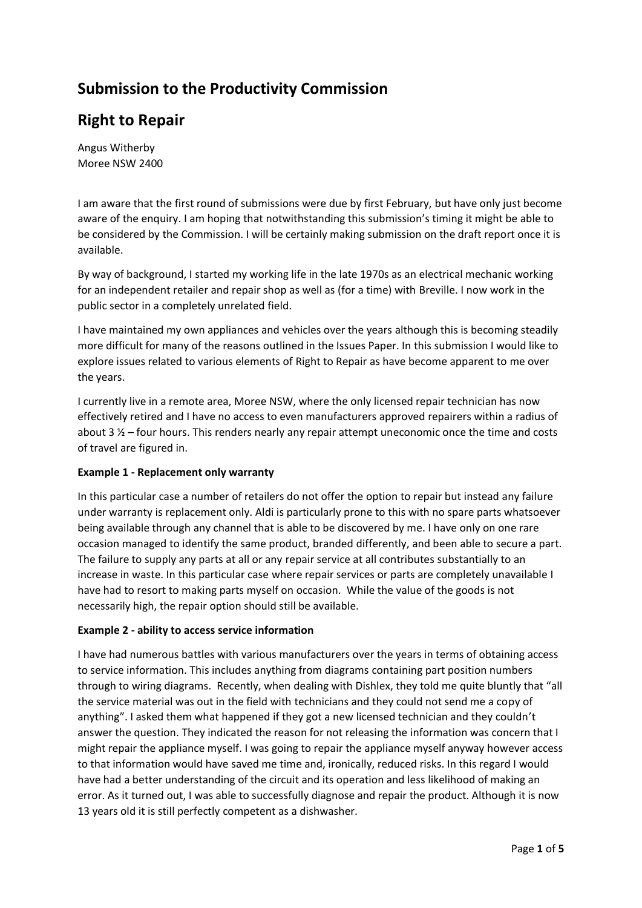# **Submission to the Productivity Commission**

## **Right to Repair**

Angus Witherby Moree NSW 2400

I am aware that the first round of submissions were due by first February, but have only just become aware of the enquiry. I am hoping that notwithstanding this submission's timing it might be able to be considered by the Commission. I will be certainly making submission on the draft report once it is available.

By way of background, I started my working life in the late 1970s as an electrical mechanic working for an independent retailer and repair shop as well as (for a time) with Breville. I now work in the public sector in a completely unrelated field.

I have maintained my own appliances and vehicles over the years although this is becoming steadily more difficult for many of the reasons outlined in the Issues Paper. In this submission I would like to explore issues related to various elements of Right to Repair as have become apparent to me over the years.

I currently live in a remote area, Moree NSW, where the only licensed repair technician has now effectively retired and I have no access to even manufacturers approved repairers within a radius of about 3  $\frac{1}{2}$  – four hours. This renders nearly any repair attempt uneconomic once the time and costs of travel are figured in.

## **Example 1 - Replacement only warranty**

In this particular case a number of retailers do not offer the option to repair but instead any failure under warranty is replacement only. Aldi is particularly prone to this with no spare parts whatsoever being available through any channel that is able to be discovered by me. I have only on one rare occasion managed to identify the same product, branded differently, and been able to secure a part. The failure to supply any parts at all or any repair service at all contributes substantially to an increase in waste. In this particular case where repair services or parts are completely unavailable I have had to resort to making parts myself on occasion. While the value of the goods is not necessarily high, the repair option should still be available.

## **Example 2 - ability to access service information**

I have had numerous battles with various manufacturers over the years in terms of obtaining access to service information. This includes anything from diagrams containing part position numbers through to wiring diagrams. Recently, when dealing with Dishlex, they told me quite bluntly that "all the service material was out in the field with technicians and they could not send me a copy of anything". I asked them what happened if they got a new licensed technician and they couldn't answer the question. They indicated the reason for not releasing the information was concern that I might repair the appliance myself. I was going to repair the appliance myself anyway however access to that information would have saved me time and, ironically, reduced risks. In this regard I would have had a better understanding of the circuit and its operation and less likelihood of making an error. As it turned out, I was able to successfully diagnose and repair the product. Although it is now 13 years old it is still perfectly competent as a dishwasher.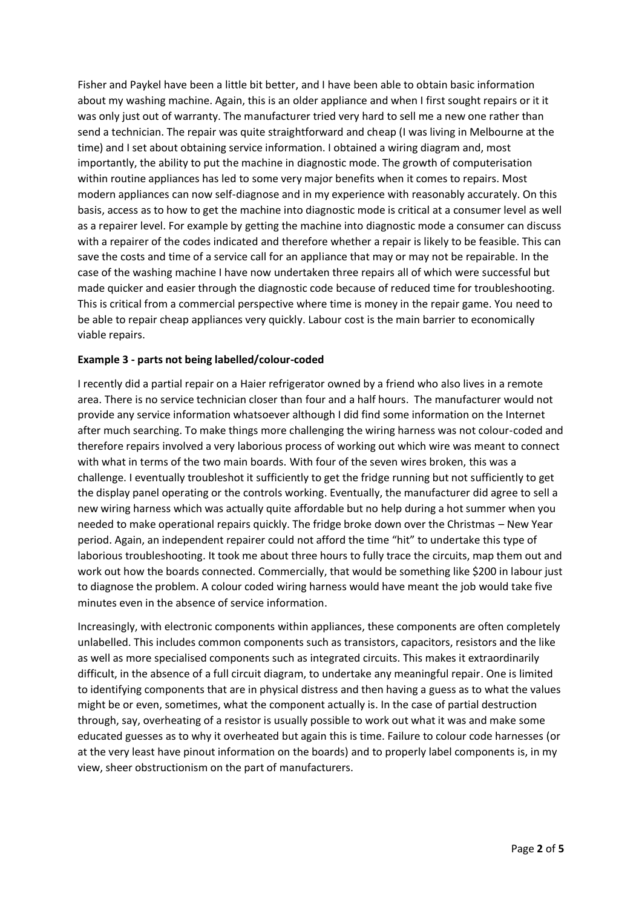Fisher and Paykel have been a little bit better, and I have been able to obtain basic information about my washing machine. Again, this is an older appliance and when I first sought repairs or it it was only just out of warranty. The manufacturer tried very hard to sell me a new one rather than send a technician. The repair was quite straightforward and cheap (I was living in Melbourne at the time) and I set about obtaining service information. I obtained a wiring diagram and, most importantly, the ability to put the machine in diagnostic mode. The growth of computerisation within routine appliances has led to some very major benefits when it comes to repairs. Most modern appliances can now self-diagnose and in my experience with reasonably accurately. On this basis, access as to how to get the machine into diagnostic mode is critical at a consumer level as well as a repairer level. For example by getting the machine into diagnostic mode a consumer can discuss with a repairer of the codes indicated and therefore whether a repair is likely to be feasible. This can save the costs and time of a service call for an appliance that may or may not be repairable. In the case of the washing machine I have now undertaken three repairs all of which were successful but made quicker and easier through the diagnostic code because of reduced time for troubleshooting. This is critical from a commercial perspective where time is money in the repair game. You need to be able to repair cheap appliances very quickly. Labour cost is the main barrier to economically viable repairs.

## **Example 3 - parts not being labelled/colour-coded**

I recently did a partial repair on a Haier refrigerator owned by a friend who also lives in a remote area. There is no service technician closer than four and a half hours. The manufacturer would not provide any service information whatsoever although I did find some information on the Internet after much searching. To make things more challenging the wiring harness was not colour-coded and therefore repairs involved a very laborious process of working out which wire was meant to connect with what in terms of the two main boards. With four of the seven wires broken, this was a challenge. I eventually troubleshot it sufficiently to get the fridge running but not sufficiently to get the display panel operating or the controls working. Eventually, the manufacturer did agree to sell a new wiring harness which was actually quite affordable but no help during a hot summer when you needed to make operational repairs quickly. The fridge broke down over the Christmas – New Year period. Again, an independent repairer could not afford the time "hit" to undertake this type of laborious troubleshooting. It took me about three hours to fully trace the circuits, map them out and work out how the boards connected. Commercially, that would be something like \$200 in labour just to diagnose the problem. A colour coded wiring harness would have meant the job would take five minutes even in the absence of service information.

Increasingly, with electronic components within appliances, these components are often completely unlabelled. This includes common components such as transistors, capacitors, resistors and the like as well as more specialised components such as integrated circuits. This makes it extraordinarily difficult, in the absence of a full circuit diagram, to undertake any meaningful repair. One is limited to identifying components that are in physical distress and then having a guess as to what the values might be or even, sometimes, what the component actually is. In the case of partial destruction through, say, overheating of a resistor is usually possible to work out what it was and make some educated guesses as to why it overheated but again this is time. Failure to colour code harnesses (or at the very least have pinout information on the boards) and to properly label components is, in my view, sheer obstructionism on the part of manufacturers.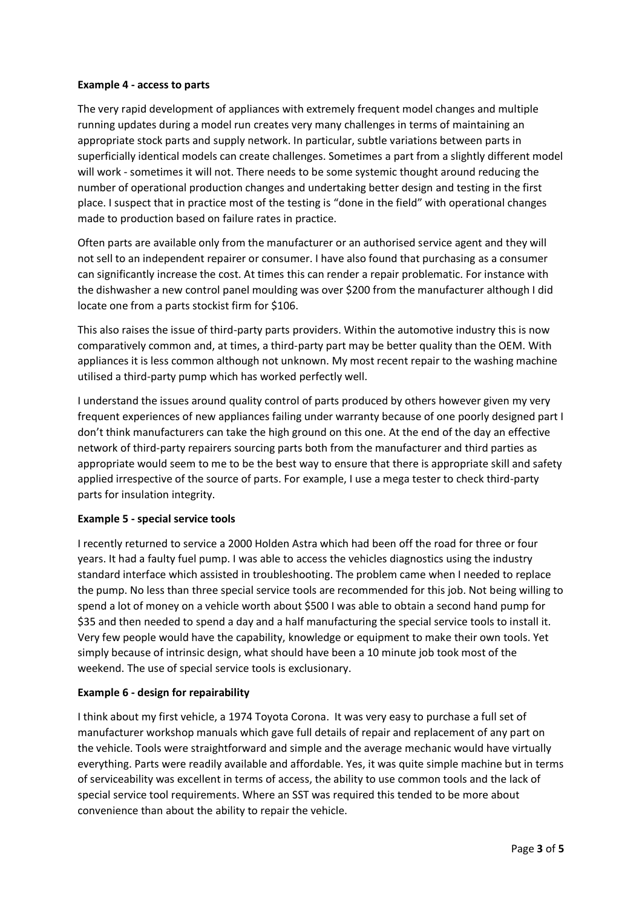#### **Example 4 - access to parts**

The very rapid development of appliances with extremely frequent model changes and multiple running updates during a model run creates very many challenges in terms of maintaining an appropriate stock parts and supply network. In particular, subtle variations between parts in superficially identical models can create challenges. Sometimes a part from a slightly different model will work - sometimes it will not. There needs to be some systemic thought around reducing the number of operational production changes and undertaking better design and testing in the first place. I suspect that in practice most of the testing is "done in the field" with operational changes made to production based on failure rates in practice.

Often parts are available only from the manufacturer or an authorised service agent and they will not sell to an independent repairer or consumer. I have also found that purchasing as a consumer can significantly increase the cost. At times this can render a repair problematic. For instance with the dishwasher a new control panel moulding was over \$200 from the manufacturer although I did locate one from a parts stockist firm for \$106.

This also raises the issue of third-party parts providers. Within the automotive industry this is now comparatively common and, at times, a third-party part may be better quality than the OEM. With appliances it is less common although not unknown. My most recent repair to the washing machine utilised a third-party pump which has worked perfectly well.

I understand the issues around quality control of parts produced by others however given my very frequent experiences of new appliances failing under warranty because of one poorly designed part I don't think manufacturers can take the high ground on this one. At the end of the day an effective network of third-party repairers sourcing parts both from the manufacturer and third parties as appropriate would seem to me to be the best way to ensure that there is appropriate skill and safety applied irrespective of the source of parts. For example, I use a mega tester to check third-party parts for insulation integrity.

## **Example 5 - special service tools**

I recently returned to service a 2000 Holden Astra which had been off the road for three or four years. It had a faulty fuel pump. I was able to access the vehicles diagnostics using the industry standard interface which assisted in troubleshooting. The problem came when I needed to replace the pump. No less than three special service tools are recommended for this job. Not being willing to spend a lot of money on a vehicle worth about \$500 I was able to obtain a second hand pump for \$35 and then needed to spend a day and a half manufacturing the special service tools to install it. Very few people would have the capability, knowledge or equipment to make their own tools. Yet simply because of intrinsic design, what should have been a 10 minute job took most of the weekend. The use of special service tools is exclusionary.

## **Example 6 - design for repairability**

I think about my first vehicle, a 1974 Toyota Corona. It was very easy to purchase a full set of manufacturer workshop manuals which gave full details of repair and replacement of any part on the vehicle. Tools were straightforward and simple and the average mechanic would have virtually everything. Parts were readily available and affordable. Yes, it was quite simple machine but in terms of serviceability was excellent in terms of access, the ability to use common tools and the lack of special service tool requirements. Where an SST was required this tended to be more about convenience than about the ability to repair the vehicle.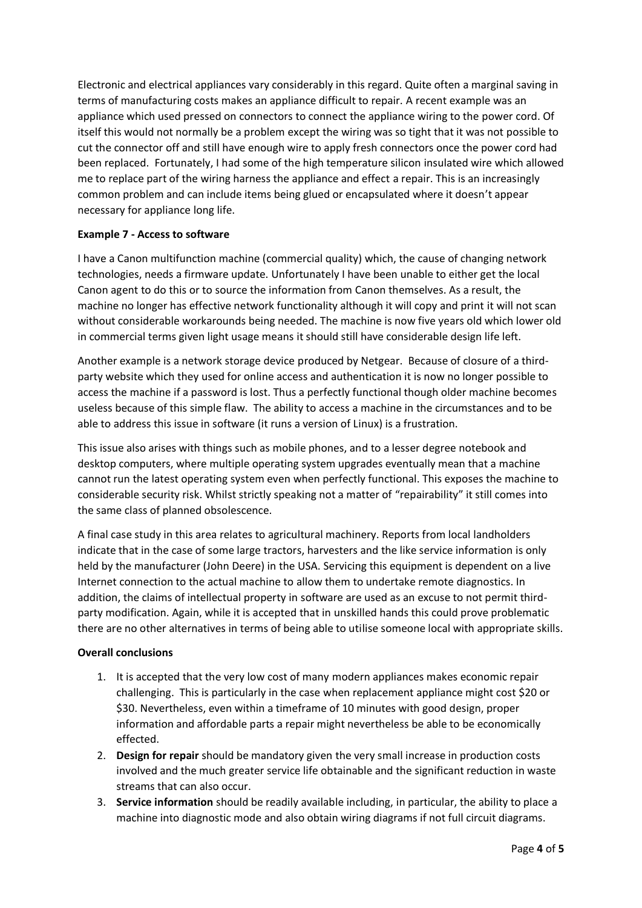Electronic and electrical appliances vary considerably in this regard. Quite often a marginal saving in terms of manufacturing costs makes an appliance difficult to repair. A recent example was an appliance which used pressed on connectors to connect the appliance wiring to the power cord. Of itself this would not normally be a problem except the wiring was so tight that it was not possible to cut the connector off and still have enough wire to apply fresh connectors once the power cord had been replaced. Fortunately, I had some of the high temperature silicon insulated wire which allowed me to replace part of the wiring harness the appliance and effect a repair. This is an increasingly common problem and can include items being glued or encapsulated where it doesn't appear necessary for appliance long life.

## **Example 7 - Access to software**

I have a Canon multifunction machine (commercial quality) which, the cause of changing network technologies, needs a firmware update. Unfortunately I have been unable to either get the local Canon agent to do this or to source the information from Canon themselves. As a result, the machine no longer has effective network functionality although it will copy and print it will not scan without considerable workarounds being needed. The machine is now five years old which lower old in commercial terms given light usage means it should still have considerable design life left.

Another example is a network storage device produced by Netgear. Because of closure of a thirdparty website which they used for online access and authentication it is now no longer possible to access the machine if a password is lost. Thus a perfectly functional though older machine becomes useless because of this simple flaw. The ability to access a machine in the circumstances and to be able to address this issue in software (it runs a version of Linux) is a frustration.

This issue also arises with things such as mobile phones, and to a lesser degree notebook and desktop computers, where multiple operating system upgrades eventually mean that a machine cannot run the latest operating system even when perfectly functional. This exposes the machine to considerable security risk. Whilst strictly speaking not a matter of "repairability" it still comes into the same class of planned obsolescence.

A final case study in this area relates to agricultural machinery. Reports from local landholders indicate that in the case of some large tractors, harvesters and the like service information is only held by the manufacturer (John Deere) in the USA. Servicing this equipment is dependent on a live Internet connection to the actual machine to allow them to undertake remote diagnostics. In addition, the claims of intellectual property in software are used as an excuse to not permit thirdparty modification. Again, while it is accepted that in unskilled hands this could prove problematic there are no other alternatives in terms of being able to utilise someone local with appropriate skills.

## **Overall conclusions**

- 1. It is accepted that the very low cost of many modern appliances makes economic repair challenging. This is particularly in the case when replacement appliance might cost \$20 or \$30. Nevertheless, even within a timeframe of 10 minutes with good design, proper information and affordable parts a repair might nevertheless be able to be economically effected.
- 2. **Design for repair** should be mandatory given the very small increase in production costs involved and the much greater service life obtainable and the significant reduction in waste streams that can also occur.
- 3. **Service information** should be readily available including, in particular, the ability to place a machine into diagnostic mode and also obtain wiring diagrams if not full circuit diagrams.